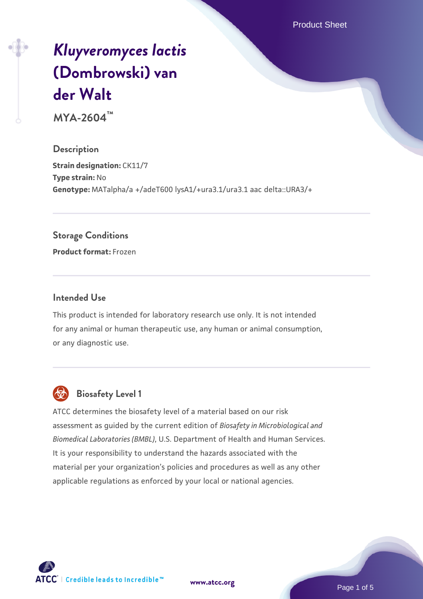Product Sheet

# *[Kluyveromyces lactis](https://www.atcc.org/products/mya-2604)* **[\(Dombrowski\) van](https://www.atcc.org/products/mya-2604) [der Walt](https://www.atcc.org/products/mya-2604)**

**MYA-2604™**

**Description Strain designation: CK11/7 Type strain:** No **Genotype:** MATalpha/a +/adeT600 lysA1/+ura3.1/ura3.1 aac delta::URA3/+

#### **Storage Conditions**

**Product format:** Frozen

#### **Intended Use**

This product is intended for laboratory research use only. It is not intended for any animal or human therapeutic use, any human or animal consumption, or any diagnostic use.



# **Biosafety Level 1**

ATCC determines the biosafety level of a material based on our risk assessment as guided by the current edition of *Biosafety in Microbiological and Biomedical Laboratories (BMBL)*, U.S. Department of Health and Human Services. It is your responsibility to understand the hazards associated with the material per your organization's policies and procedures as well as any other applicable regulations as enforced by your local or national agencies.



**[www.atcc.org](http://www.atcc.org)**

Page 1 of 5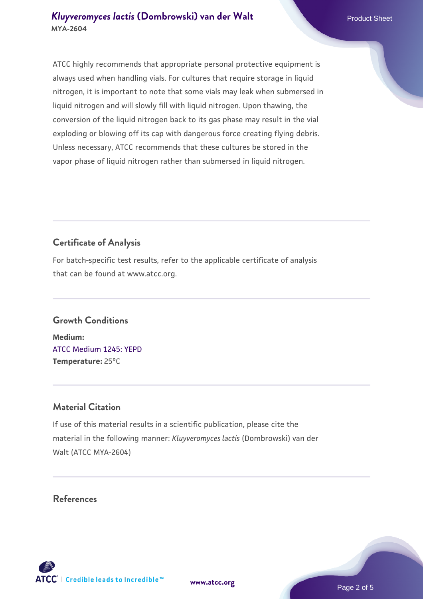ATCC highly recommends that appropriate personal protective equipment is always used when handling vials. For cultures that require storage in liquid nitrogen, it is important to note that some vials may leak when submersed in liquid nitrogen and will slowly fill with liquid nitrogen. Upon thawing, the conversion of the liquid nitrogen back to its gas phase may result in the vial exploding or blowing off its cap with dangerous force creating flying debris. Unless necessary, ATCC recommends that these cultures be stored in the vapor phase of liquid nitrogen rather than submersed in liquid nitrogen.

# **Certificate of Analysis**

For batch-specific test results, refer to the applicable certificate of analysis that can be found at www.atcc.org.

# **Growth Conditions**

**Medium:**  [ATCC Medium 1245: YEPD](https://www.atcc.org/-/media/product-assets/documents/microbial-media-formulations/1/2/4/5/atcc-medium-1245.pdf?rev=705ca55d1b6f490a808a965d5c072196) **Temperature:** 25°C

# **Material Citation**

If use of this material results in a scientific publication, please cite the material in the following manner: *Kluyveromyces lactis* (Dombrowski) van der Walt (ATCC MYA-2604)

# **References**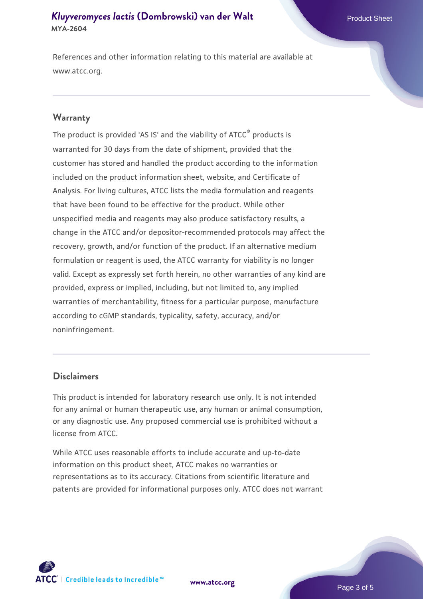#### *[Kluyveromyces lactis](https://www.atcc.org/products/mya-2604)* **[\(Dombrowski\) van der Walt](https://www.atcc.org/products/mya-2604)** Product Sheet **MYA-2604**

References and other information relating to this material are available at www.atcc.org.

#### **Warranty**

The product is provided 'AS IS' and the viability of ATCC® products is warranted for 30 days from the date of shipment, provided that the customer has stored and handled the product according to the information included on the product information sheet, website, and Certificate of Analysis. For living cultures, ATCC lists the media formulation and reagents that have been found to be effective for the product. While other unspecified media and reagents may also produce satisfactory results, a change in the ATCC and/or depositor-recommended protocols may affect the recovery, growth, and/or function of the product. If an alternative medium formulation or reagent is used, the ATCC warranty for viability is no longer valid. Except as expressly set forth herein, no other warranties of any kind are provided, express or implied, including, but not limited to, any implied warranties of merchantability, fitness for a particular purpose, manufacture according to cGMP standards, typicality, safety, accuracy, and/or noninfringement.

#### **Disclaimers**

This product is intended for laboratory research use only. It is not intended for any animal or human therapeutic use, any human or animal consumption, or any diagnostic use. Any proposed commercial use is prohibited without a license from ATCC.

While ATCC uses reasonable efforts to include accurate and up-to-date information on this product sheet, ATCC makes no warranties or representations as to its accuracy. Citations from scientific literature and patents are provided for informational purposes only. ATCC does not warrant



**[www.atcc.org](http://www.atcc.org)**

Page 3 of 5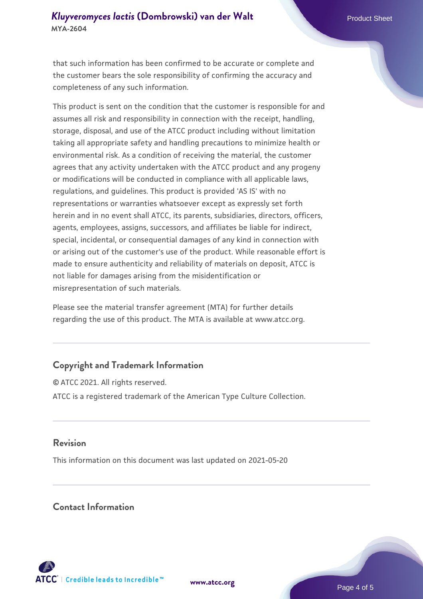### *[Kluyveromyces lactis](https://www.atcc.org/products/mya-2604)* **[\(Dombrowski\) van der Walt](https://www.atcc.org/products/mya-2604)** Product Sheet **MYA-2604**

that such information has been confirmed to be accurate or complete and the customer bears the sole responsibility of confirming the accuracy and completeness of any such information.

This product is sent on the condition that the customer is responsible for and assumes all risk and responsibility in connection with the receipt, handling, storage, disposal, and use of the ATCC product including without limitation taking all appropriate safety and handling precautions to minimize health or environmental risk. As a condition of receiving the material, the customer agrees that any activity undertaken with the ATCC product and any progeny or modifications will be conducted in compliance with all applicable laws, regulations, and guidelines. This product is provided 'AS IS' with no representations or warranties whatsoever except as expressly set forth herein and in no event shall ATCC, its parents, subsidiaries, directors, officers, agents, employees, assigns, successors, and affiliates be liable for indirect, special, incidental, or consequential damages of any kind in connection with or arising out of the customer's use of the product. While reasonable effort is made to ensure authenticity and reliability of materials on deposit, ATCC is not liable for damages arising from the misidentification or misrepresentation of such materials.

Please see the material transfer agreement (MTA) for further details regarding the use of this product. The MTA is available at www.atcc.org.

# **Copyright and Trademark Information**

© ATCC 2021. All rights reserved. ATCC is a registered trademark of the American Type Culture Collection.

#### **Revision**

This information on this document was last updated on 2021-05-20

#### **Contact Information**



**[www.atcc.org](http://www.atcc.org)**

Page 4 of 5